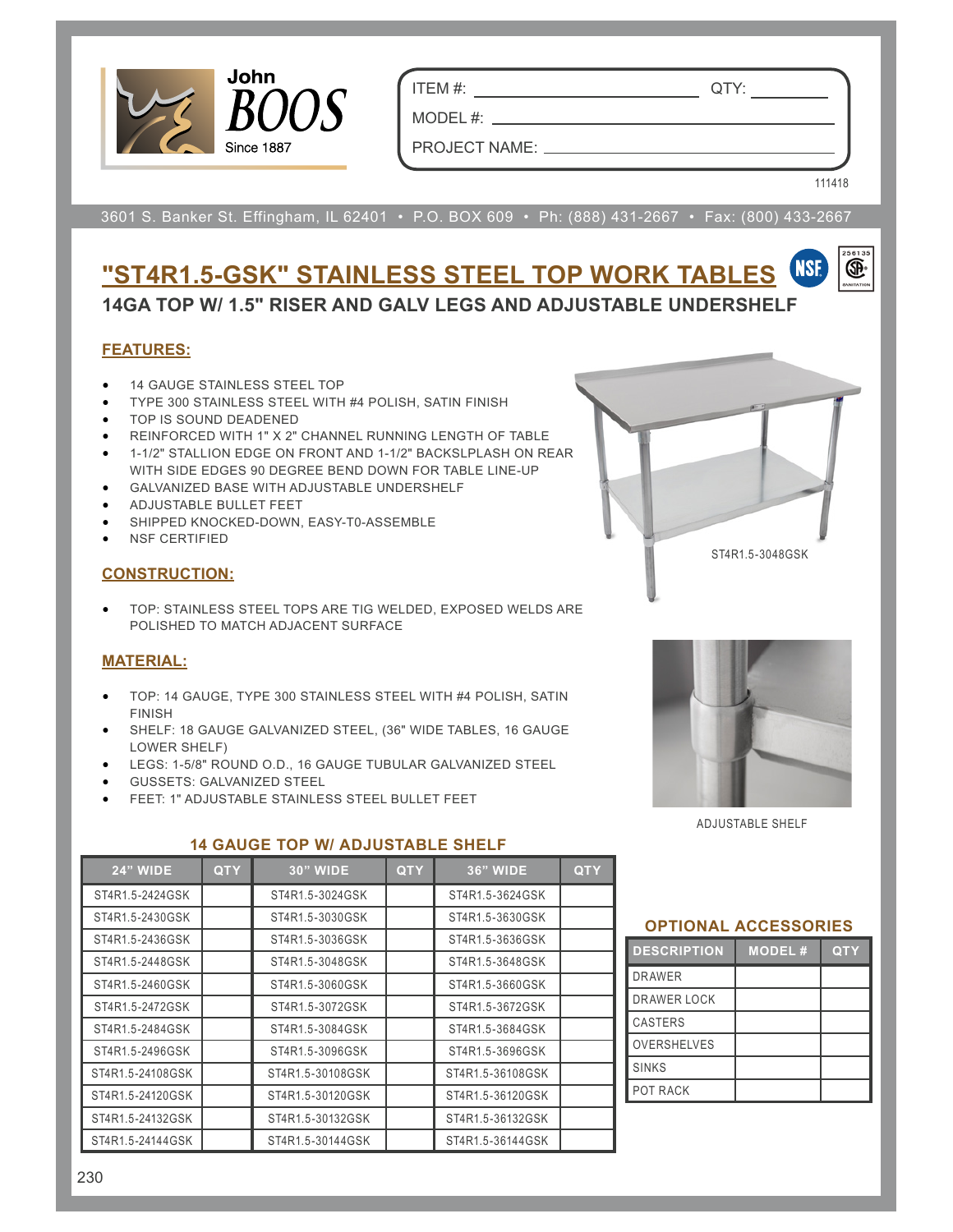

ITEM #: QTY:

MODEL#: \_\_

PROJECT NAME:

111418

œ.

3601 S. Banker St. Effingham, IL 62401 • P.O. BOX 609 • Ph: (888) 431-2667 • Fax: (800) 433-2667

## **NSF "ST4R1.5-GSK" STAINLESS STEEL TOP WORK TABLES 14GA TOP W/ 1.5" RISER AND GALV LEGS AND ADJUSTABLE UNDERSHELF**

# **FEATURES:**

- 14 GAUGE STAINLESS STEEL TOP
- TYPE 300 STAINLESS STEEL WITH #4 POLISH, SATIN FINISH
- TOP IS SOUND DEADENED
- REINFORCED WITH 1" X 2" CHANNEL RUNNING LENGTH OF TABLE
- 1-1/2" STALLION EDGE ON FRONT AND 1-1/2" BACKSLPLASH ON REAR WITH SIDE EDGES 90 DEGREE BEND DOWN FOR TABLE LINE-UP
- GALVANIZED BASE WITH ADJUSTABLE UNDERSHELF
- ADJUSTABLE BULLET FEET
- SHIPPED KNOCKED-DOWN, EASY-T0-ASSEMBLE
- **NSF CERTIFIED**

## **CONSTRUCTION:**

• TOP: STAINLESS STEEL TOPS ARE TIG WELDED, EXPOSED WELDS ARE POLISHED TO MATCH ADJACENT SURFACE

#### **MATERIAL:**

- TOP: 14 GAUGE, TYPE 300 STAINLESS STEEL WITH #4 POLISH, SATIN FINISH
- SHELF: 18 GAUGE GALVANIZED STEEL, (36" WIDE TABLES, 16 GAUGE LOWER SHELF)
- LEGS: 1-5/8" ROUND O.D., 16 GAUGE TUBULAR GALVANIZED STEEL
- GUSSETS: GALVANIZED STEEL
- FEET: 1" ADJUSTABLE STAINLESS STEEL BULLET FEET



ST4R1.5-3048GSK

ADJUSTABLE SHELF

| <b>24" WIDE</b>  | <b>QTY</b> | <b>30" WIDE</b>  | <b>QTY</b> | <b>36" WIDE</b>  | <b>QTY</b> |
|------------------|------------|------------------|------------|------------------|------------|
| ST4R1.5-2424GSK  |            | ST4R1.5-3024GSK  |            | ST4R1.5-3624GSK  |            |
| ST4R1.5-2430GSK  |            | ST4R1.5-3030GSK  |            | ST4R1.5-3630GSK  |            |
| ST4R1.5-2436GSK  |            | ST4R1.5-3036GSK  |            | ST4R1.5-3636GSK  |            |
| ST4R1.5-2448GSK  |            | ST4R1.5-3048GSK  |            | ST4R1.5-3648GSK  |            |
| ST4R1.5-2460GSK  |            | ST4R1.5-3060GSK  |            | ST4R1.5-3660GSK  |            |
| ST4R1.5-2472GSK  |            | ST4R1.5-3072GSK  |            | ST4R1.5-3672GSK  |            |
| ST4R1.5-2484GSK  |            | ST4R1.5-3084GSK  |            | ST4R1.5-3684GSK  |            |
| ST4R1.5-2496GSK  |            | ST4R1.5-3096GSK  |            | ST4R1.5-3696GSK  |            |
| ST4R1.5-24108GSK |            | ST4R1.5-30108GSK |            | ST4R1.5-36108GSK |            |
| ST4R1.5-24120GSK |            | ST4R1.5-30120GSK |            | ST4R1.5-36120GSK |            |
| ST4R1.5-24132GSK |            | ST4R1.5-30132GSK |            | ST4R1.5-36132GSK |            |
| ST4R1.5-24144GSK |            | ST4R1.5-30144GSK |            | ST4R1.5-36144GSK |            |

## **14 GAUGE TOP W/ ADJUSTABLE SHELF**

| <b>DESCRIPTION</b> | <b>MODEL#</b> | <b>QTY</b> |
|--------------------|---------------|------------|
| <b>DRAWER</b>      |               |            |
| <b>DRAWER LOCK</b> |               |            |
| <b>CASTERS</b>     |               |            |
| <b>OVERSHELVES</b> |               |            |
| <b>SINKS</b>       |               |            |
| POT RACK           |               |            |